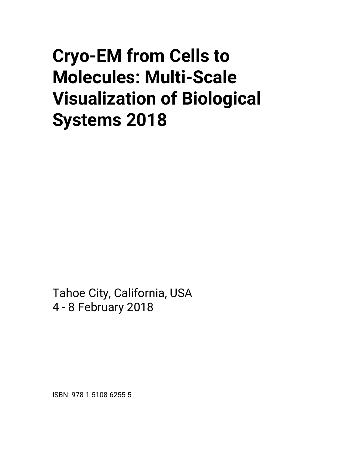# **Cryo-EM from Cells to Molecules: Multi-Scale Visualization of Biological Systems 2018**

Tahoe City, California, USA 4 - 8 February 2018

ISBN: 978-1-5108-6255-5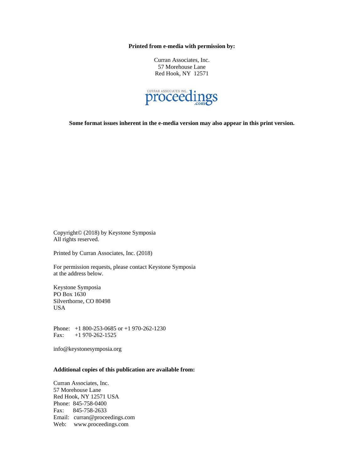**Printed from e-media with permission by:** 

Curran Associates, Inc. 57 Morehouse Lane Red Hook, NY 12571



**Some format issues inherent in the e-media version may also appear in this print version.** 

Copyright© (2018) by Keystone Symposia All rights reserved.

Printed by Curran Associates, Inc. (2018)

For permission requests, please contact Keystone Symposia at the address below.

Keystone Symposia PO Box 1630 Silverthorne, CO 80498 USA

Phone: +1 800-253-0685 or +1 970-262-1230 Fax: +1 970-262-1525

info@keystonesymposia.org

#### **Additional copies of this publication are available from:**

Curran Associates, Inc. 57 Morehouse Lane Red Hook, NY 12571 USA Phone: 845-758-0400 Fax: 845-758-2633 Email: curran@proceedings.com Web: www.proceedings.com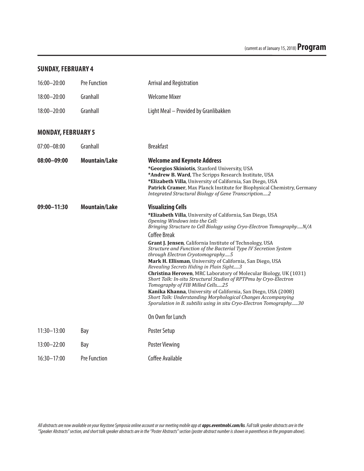## **SUNDAY, FEBRUARY 4**

| $16:00 - 20:00$           | Pre Function         | <b>Arrival and Registration</b>                                                                                                                                                                                                                                                                                                                                                                                                                                                                                                                                                                                                                                                                                                                                                                                                                                                                           |
|---------------------------|----------------------|-----------------------------------------------------------------------------------------------------------------------------------------------------------------------------------------------------------------------------------------------------------------------------------------------------------------------------------------------------------------------------------------------------------------------------------------------------------------------------------------------------------------------------------------------------------------------------------------------------------------------------------------------------------------------------------------------------------------------------------------------------------------------------------------------------------------------------------------------------------------------------------------------------------|
| 18:00-20:00               | Granhall             | <b>Welcome Mixer</b>                                                                                                                                                                                                                                                                                                                                                                                                                                                                                                                                                                                                                                                                                                                                                                                                                                                                                      |
| 18:00-20:00               | Granhall             | Light Meal - Provided by Granlibakken                                                                                                                                                                                                                                                                                                                                                                                                                                                                                                                                                                                                                                                                                                                                                                                                                                                                     |
| <b>MONDAY, FEBRUARY 5</b> |                      |                                                                                                                                                                                                                                                                                                                                                                                                                                                                                                                                                                                                                                                                                                                                                                                                                                                                                                           |
| $07:00 - 08:00$           | Granhall             | <b>Breakfast</b>                                                                                                                                                                                                                                                                                                                                                                                                                                                                                                                                                                                                                                                                                                                                                                                                                                                                                          |
| $08:00 - 09:00$           | <b>Mountain/Lake</b> | <b>Welcome and Keynote Address</b><br>*Georgios Skiniotis, Stanford University, USA<br>*Andrew B. Ward, The Scripps Research Institute, USA<br>*Elizabeth Villa, University of California, San Diego, USA<br>Patrick Cramer, Max Planck Institute for Biophysical Chemistry, Germany<br>Integrated Structural Biology of Gene Transcription2                                                                                                                                                                                                                                                                                                                                                                                                                                                                                                                                                              |
| $09:00 - 11:30$           | <b>Mountain/Lake</b> | <b>Visualizing Cells</b><br>*Elizabeth Villa, University of California, San Diego, USA<br>Opening Windows into the Cell:<br>Bringing Structure to Cell Biology using Cryo-Electron TomographyN/A<br>Coffee Break<br>Grant J. Jensen, California Institute of Technology, USA<br>Structure and Function of the Bacterial Type IV Secretion System<br>through Electron Cryotomography5<br>Mark H. Ellisman, University of California, San Diego, USA<br>Revealing Secrets Hiding in Plain Sight3<br>Christina Heroven, MRC Laboratory of Molecular Biology, UK (1031)<br>Short Talk: In-situ Structural Studies of RPTPmu by Cryo-Electron<br>Tomography of FIB Milled Cells25<br>Kanika Khanna, University of California, San Diego, USA (2008)<br>Short Talk: Understanding Morphological Changes Accompanying<br>Sporulation in B. subtilis using in situ Cryo-Electron Tomography30<br>On Own for Lunch |
| $11:30 - 13:00$           | Bay                  | Poster Setup                                                                                                                                                                                                                                                                                                                                                                                                                                                                                                                                                                                                                                                                                                                                                                                                                                                                                              |
| $13:00 - 22:00$           | Bay                  | <b>Poster Viewing</b>                                                                                                                                                                                                                                                                                                                                                                                                                                                                                                                                                                                                                                                                                                                                                                                                                                                                                     |
| $16:30 - 17:00$           | <b>Pre Function</b>  | Coffee Available                                                                                                                                                                                                                                                                                                                                                                                                                                                                                                                                                                                                                                                                                                                                                                                                                                                                                          |
|                           |                      |                                                                                                                                                                                                                                                                                                                                                                                                                                                                                                                                                                                                                                                                                                                                                                                                                                                                                                           |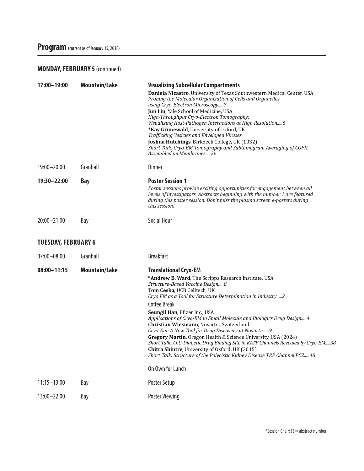## **MONDAY, FEBRUARY 5** (continued)

| Daniela Nicastro, University of Texas Southwestern Medical Center, USA                                                                                   |
|----------------------------------------------------------------------------------------------------------------------------------------------------------|
| Probing the Molecular Organization of Cells and Organelles                                                                                               |
| using Cryo-Electron Microscopy7                                                                                                                          |
| Jun Liu, Yale School of Medicine, USA                                                                                                                    |
| High-Throughput Cryo-Electron Tomography:<br>Visualizing Host-Pathogen Interactions at High Resolution 5                                                 |
| *Kay Grünewald, University of Oxford, UK                                                                                                                 |
| Trafficking Vesicles and Enveloped Viruses                                                                                                               |
| Joshua Hutchings, Birkbeck College, UK (1032)<br>Short Talk: Cryo-EM Tomography and Subtomogram Averaging of COPII                                       |
| Assembled on Membranes26                                                                                                                                 |
|                                                                                                                                                          |
|                                                                                                                                                          |
| Poster sessions provide exciting opportunities for engagement between all                                                                                |
| levels of investigators. Abstracts beginning with the number 1 are featured<br>during this poster session. Don't miss the plasma screen e-posters during |
|                                                                                                                                                          |
|                                                                                                                                                          |
|                                                                                                                                                          |
|                                                                                                                                                          |
|                                                                                                                                                          |
| *Andrew B. Ward, The Scripps Research Institute, USA                                                                                                     |
| Structure-Based Vaccine Design8                                                                                                                          |
| Tom Ceska, UCB Celltech, UK<br>Cryo EM as a Tool for Structure Determination in Industry2                                                                |
|                                                                                                                                                          |
| Seungil Han, Pfizer Inc., USA                                                                                                                            |
| Applications of Cryo-EM in Small Molecule and Biologics Drug Design4                                                                                     |
| Christian Wiesmann, Novartis, Switzerland<br>Cryo-Em: A New Tool for Drug Discovery at Novartis9                                                         |
| Gregory Martin, Oregon Health & Science University, USA (2024)                                                                                           |
| Short Talk: Anti-Diabetic Drug Binding Site in KATP Channels Revealed by Cryo-EM38                                                                       |
| <b>Chitra Shintre, University of Oxford, UK (3015)</b><br>Short Talk: Structure of the Polycistic Kidney Disease TRP Channel PC248                       |
|                                                                                                                                                          |
|                                                                                                                                                          |
|                                                                                                                                                          |
|                                                                                                                                                          |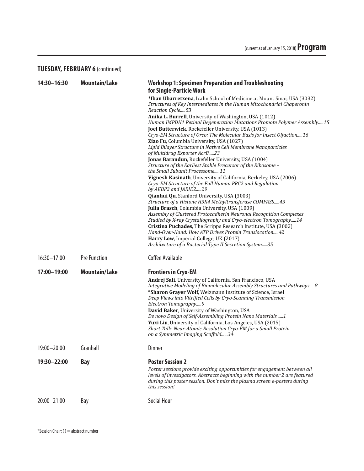## **TUESDAY, FEBRUARY 6** (continued)

| 14:30-16:30     | <b>Mountain/Lake</b> | <b>Workshop 1: Specimen Preparation and Troubleshooting</b><br>for Single-Particle Work                                                                                                                                                                                                                                                                                                                                                                                                                                                                                       |
|-----------------|----------------------|-------------------------------------------------------------------------------------------------------------------------------------------------------------------------------------------------------------------------------------------------------------------------------------------------------------------------------------------------------------------------------------------------------------------------------------------------------------------------------------------------------------------------------------------------------------------------------|
|                 |                      | *Iban Ubarretxena, Icahn School of Medicine at Mount Sinai, USA (3032)<br>Structures of Key Intermediates in the Human Mitochondrial Chaperonin<br>Reaction Cycle53                                                                                                                                                                                                                                                                                                                                                                                                           |
|                 |                      | Anika L. Burrell, University of Washington, USA (1012)<br>Human IMPDH1 Retinal Degeneration Mutations Promote Polymer Assembly15<br>Joel Butterwick, Rockefeller University, USA (1013)                                                                                                                                                                                                                                                                                                                                                                                       |
|                 |                      | Cryo-EM Structure of Orco: The Molecular Basis for Insect Olfaction16<br>Ziao Fu, Columbia University, USA (1027)<br>Lipid Bilayer Structure in Native Cell Membrane Nanoparticles<br>of Multidrug Exporter AcrB23                                                                                                                                                                                                                                                                                                                                                            |
|                 |                      | Jonas Barandun, Rockefeller University, USA (1004)<br>Structure of the Earliest Stable Precursor of the Ribosome -<br>the Small Subunit Processome11                                                                                                                                                                                                                                                                                                                                                                                                                          |
|                 |                      | Vignesh Kasinath, University of California, Berkeley, USA (2006)<br>Cryo-EM Structure of the Full Human PRC2 and Regulation<br>by AEBP2 and JARID229                                                                                                                                                                                                                                                                                                                                                                                                                          |
|                 |                      | Qianhui Qu, Stanford University, USA (3003)<br>Structure of a Histone H3K4 Methyltransferase COMPASS43<br>Julia Brasch, Columbia University, USA (1009)                                                                                                                                                                                                                                                                                                                                                                                                                       |
|                 |                      | Assembly of Clustered Protocadherin Neuronal Recognition Complexes<br>Studied by X-ray Crystallography and Cryo-electron Tomography14<br>Cristina Puchades, The Scripps Research Institute, USA (3002)<br>Hand-Over-Hand: How ATP Drives Protein Translocation42<br>Harry Low, Imperial College, UK (2017)                                                                                                                                                                                                                                                                    |
|                 |                      | Architecture of a Bacterial Type II Secretion System35                                                                                                                                                                                                                                                                                                                                                                                                                                                                                                                        |
| 16:30-17:00     | <b>Pre Function</b>  | Coffee Available                                                                                                                                                                                                                                                                                                                                                                                                                                                                                                                                                              |
| 17:00-19:00     | <b>Mountain/Lake</b> | <b>Frontiers in Cryo-EM</b>                                                                                                                                                                                                                                                                                                                                                                                                                                                                                                                                                   |
|                 |                      | Andrej Sali, University of California, San Francisco, USA<br>Integrative Modeling of Biomolecular Assembly Structures and Pathways8<br>*Sharon Grayer Wolf, Weizmann Institute of Science, Israel<br>Deep Views into Vitrified Cells by Cryo-Scanning Transmission<br>Electron Tomography9<br>David Baker, University of Washington, USA<br>De novo Design of Self-Assembling Protein Nano Materials  1<br>Yuxi Liu, University of California, Los Angeles, USA (2015)<br>Short Talk: Near-Atomic Resolution Cryo-EM for a Small Protein<br>on a Symmetric Imaging Scaffold34 |
| 19:00-20:00     | Granhall             | <b>Dinner</b>                                                                                                                                                                                                                                                                                                                                                                                                                                                                                                                                                                 |
| 19:30-22:00     | <b>Bay</b>           | <b>Poster Session 2</b><br>Poster sessions provide exciting opportunities for engagement between all<br>levels of investigators. Abstracts beginning with the number 2 are featured<br>during this poster session. Don't miss the plasma screen e-posters during<br>this session!                                                                                                                                                                                                                                                                                             |
| $20:00 - 21:00$ | Bay                  | Social Hour                                                                                                                                                                                                                                                                                                                                                                                                                                                                                                                                                                   |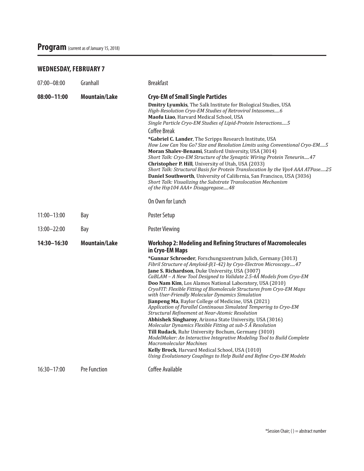## **WEDNESDAY, FEBRUARY 7**

| 07:00-08:00     | Granhall             | <b>Breakfast</b>                                                                                                                                                                                                                                                                                                                                                                                                                                                                                                                                                                                                                                                                                                                                                                                                                                                                                                                                                                                                                                                                                                                                     |
|-----------------|----------------------|------------------------------------------------------------------------------------------------------------------------------------------------------------------------------------------------------------------------------------------------------------------------------------------------------------------------------------------------------------------------------------------------------------------------------------------------------------------------------------------------------------------------------------------------------------------------------------------------------------------------------------------------------------------------------------------------------------------------------------------------------------------------------------------------------------------------------------------------------------------------------------------------------------------------------------------------------------------------------------------------------------------------------------------------------------------------------------------------------------------------------------------------------|
| $08:00 - 11:00$ | <b>Mountain/Lake</b> | <b>Cryo-EM of Small Single Particles</b><br>Dmitry Lyumkis, The Salk Institute for Biological Studies, USA<br>High-Resolution Cryo-EM Studies of Retroviral Intasomes6<br>Maofu Liao, Harvard Medical School, USA<br>Single Particle Cryo-EM Studies of Lipid-Protein Interactions 5<br><b>Coffee Break</b><br>*Gabriel C. Lander, The Scripps Research Institute, USA<br>How Low Can You Go? Size and Resolution Limits using Conventional Cryo-EM5<br>Moran Shalev-Benami, Stanford University, USA (3014)<br>Short Talk: Cryo-EM Structure of the Synaptic Wiring Protein Teneurin47<br>Christopher P. Hill, University of Utah, USA (2033)<br>Short Talk: Structural Basis for Protein Translocation by the Vps4 AAA ATPase25<br>Daniel Southworth, University of California, San Francisco, USA (3036)<br>Short Talk: Visualizing the Substrate Translocation Mechanism<br>of the Hsp104 AAA+ Disaggregase48                                                                                                                                                                                                                                    |
|                 |                      | On Own for Lunch                                                                                                                                                                                                                                                                                                                                                                                                                                                                                                                                                                                                                                                                                                                                                                                                                                                                                                                                                                                                                                                                                                                                     |
| $11:00 - 13:00$ | Bay                  | Poster Setup                                                                                                                                                                                                                                                                                                                                                                                                                                                                                                                                                                                                                                                                                                                                                                                                                                                                                                                                                                                                                                                                                                                                         |
| $13:00 - 22:00$ | Bay                  | <b>Poster Viewing</b>                                                                                                                                                                                                                                                                                                                                                                                                                                                                                                                                                                                                                                                                                                                                                                                                                                                                                                                                                                                                                                                                                                                                |
| 14:30-16:30     | <b>Mountain/Lake</b> | <b>Workshop 2: Modeling and Refining Structures of Macromolecules</b><br>in Cryo-EM Maps<br>*Gunnar Schroeder, Forschungszentrum Julich, Germany (3013)<br>Fibril Structure of Amyloid-β(1-42) by Cryo-Electron Microscopy47<br>Jane S. Richardson, Duke University, USA (3007)<br>CaBLAM - A New Tool Designed to Validate 2.5-4Å Models from Cryo-EM<br>Doo Nam Kim, Los Alamos National Laboratory, USA (2010)<br>CryoFIT: Flexible Fitting of Biomolecule Structures from Cryo-EM Maps<br>with User-Friendly Molecular Dynamics Simulation<br>Jianpeng Ma, Baylor College of Medicine, USA (2021)<br>Application of Parallel Continuous Simulated Tempering to Cryo-EM<br>Structural Refinement at Near-Atomic Resolution<br>Abhishek Singharoy, Arizona State University, USA (3016)<br>Molecular Dynamics Flexible Fitting at sub-5 Å Resolution<br>Till Rudack, Ruhr University Bochum, Germany (3010)<br>ModelMaker: An Interactive Integrative Modeling Tool to Build Complete<br><b>Macromolecular Machines</b><br>Kelly Brock, Harvard Medical School, USA (1010)<br>Using Evolutionary Couplings to Help Build and Refine Cryo-EM Models |
| $16:30 - 17:00$ | <b>Pre Function</b>  | Coffee Available                                                                                                                                                                                                                                                                                                                                                                                                                                                                                                                                                                                                                                                                                                                                                                                                                                                                                                                                                                                                                                                                                                                                     |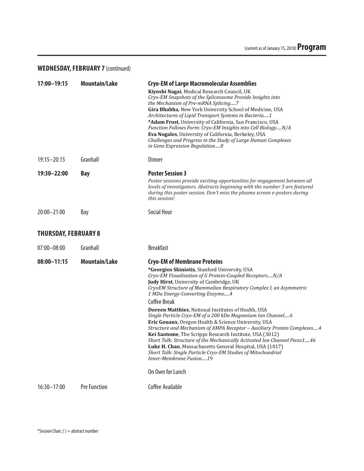## **WEDNESDAY, FEBRUARY 7** (continued)

| 17:00-19:15                 | <b>Mountain/Lake</b> | <b>Cryo-EM of Large Macromolecular Assemblies</b><br>Kiyoshi Nagai, Medical Research Council, UK<br>Cryo-EM Snapshots of the Spliceosome Provide Insights into<br>the Mechanism of Pre-mRNA Splicing7<br>Gira Bhabha, New York University School of Medicine, USA<br>Architectures of Lipid Transport Systems in Bacteria1<br>*Adam Frost, University of California, San Francisco, USA<br>Function Follows Form: Cryo-EM Insights into Cell BiologyN/A<br>Eva Nogales, University of California, Berkeley, USA<br>Challenges and Progress in the Study of Large Human Complexes<br>in Gene Expression Regulation8                                                                                                                                                                                                                                                                                                    |
|-----------------------------|----------------------|-----------------------------------------------------------------------------------------------------------------------------------------------------------------------------------------------------------------------------------------------------------------------------------------------------------------------------------------------------------------------------------------------------------------------------------------------------------------------------------------------------------------------------------------------------------------------------------------------------------------------------------------------------------------------------------------------------------------------------------------------------------------------------------------------------------------------------------------------------------------------------------------------------------------------|
| $19:15 - 20:15$             | Granhall             | <b>Dinner</b>                                                                                                                                                                                                                                                                                                                                                                                                                                                                                                                                                                                                                                                                                                                                                                                                                                                                                                         |
| 19:30-22:00                 | <b>Bay</b>           | <b>Poster Session 3</b><br>Poster sessions provide exciting opportunities for engagement between all<br>levels of investigators. Abstracts beginning with the number 3 are featured<br>during this poster session. Don't miss the plasma screen e-posters during<br>this session!                                                                                                                                                                                                                                                                                                                                                                                                                                                                                                                                                                                                                                     |
| $20:00 - 21:00$             | Bay                  | <b>Social Hour</b>                                                                                                                                                                                                                                                                                                                                                                                                                                                                                                                                                                                                                                                                                                                                                                                                                                                                                                    |
| <b>THURSDAY, FEBRUARY 8</b> |                      |                                                                                                                                                                                                                                                                                                                                                                                                                                                                                                                                                                                                                                                                                                                                                                                                                                                                                                                       |
| $07:00 - 08:00$             | Granhall             | <b>Breakfast</b>                                                                                                                                                                                                                                                                                                                                                                                                                                                                                                                                                                                                                                                                                                                                                                                                                                                                                                      |
| $08:00 - 11:15$             | <b>Mountain/Lake</b> | <b>Cryo-EM of Membrane Proteins</b><br>*Georgios Skiniotis, Stanford University, USA<br>Cryo-EM Visualization of G Protein-Coupled ReceptorsN/A<br><b>Judy Hirst, University of Cambridge, UK</b><br>CryoEM Structure of Mammalian Respiratory Complex I, an Asymmetric<br>1 MDa Energy-Converting Enzyme4<br><b>Coffee Break</b><br><b>Doreen Matthies, National Institutes of Health, USA</b><br>Single Particle Cryo-EM of a 200 kDa Magnesium Ion Channel6<br>Eric Gouaux, Oregon Health & Science University, USA<br>Structure and Mechanism of AMPA Receptor - Auxiliary Protein Complexes 4<br>Kei Saotome, The Scripps Research Institute, USA (3012)<br>Short Talk: Structure of the Mechanically Activated Ion Channel Piezo1 46<br>Luke H. Chao, Massachusetts General Hospital, USA (1017)<br>Short Talk: Single Particle Cryo-EM Studies of Mitochondrial<br>Inner-Membrane Fusion19<br>On Own for Lunch |
| 16:30-17:00                 | <b>Pre Function</b>  | Coffee Available                                                                                                                                                                                                                                                                                                                                                                                                                                                                                                                                                                                                                                                                                                                                                                                                                                                                                                      |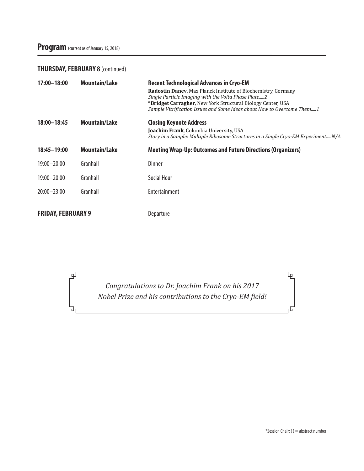# Program (current as of January 15, 2018)

## **THURSDAY, FEBRUARY 8** (continued)

டி

ᇚ

| 17:00-18:00               | <b>Mountain/Lake</b> | <b>Recent Technological Advances in Cryo-EM</b><br>Radostin Daney, Max Planck Institute of Biochemistry, Germany<br>Single Particle Imaging with the Volta Phase Plate2<br><b>*Bridget Carragher, New York Structural Biology Center, USA</b><br>Sample Vitrification Issues and Some Ideas about How to Overcome Them1 |
|---------------------------|----------------------|-------------------------------------------------------------------------------------------------------------------------------------------------------------------------------------------------------------------------------------------------------------------------------------------------------------------------|
| 18:00-18:45               | <b>Mountain/Lake</b> | <b>Closing Keynote Address</b><br>Joachim Frank, Columbia University, USA<br>Story in a Sample: Multiple Ribosome Structures in a Single Cryo-EM ExperimentN/A                                                                                                                                                          |
| 18:45-19:00               | <b>Mountain/Lake</b> | <b>Meeting Wrap-Up: Outcomes and Future Directions (Organizers)</b>                                                                                                                                                                                                                                                     |
| $19:00 - 20:00$           | Granhall             | Dinner                                                                                                                                                                                                                                                                                                                  |
| 19:00-20:00               | Granhall             | Social Hour                                                                                                                                                                                                                                                                                                             |
| 20:00-23:00               | Granhall             | Entertainment                                                                                                                                                                                                                                                                                                           |
| <b>FRIDAY, FEBRUARY 9</b> |                      | Departure                                                                                                                                                                                                                                                                                                               |

*Congratulations to Dr. Joachim Frank on his 2017 Nobel Prize and his contributions to the Cryo-EM field!* 

\*Session Chair; ( ) = abstract number

Ψ

市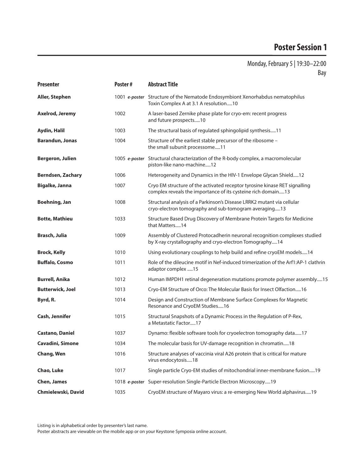## Monday, February 5 | 19:30–22:00 Bay

| <b>Presenter</b>         | Poster# | <b>Abstract Title</b>                                                                                                                      |
|--------------------------|---------|--------------------------------------------------------------------------------------------------------------------------------------------|
| <b>Aller, Stephen</b>    |         | 1001 e-poster Structure of the Nematode Endosymbiont Xenorhabdus nematophilus<br>Toxin Complex A at 3.1 A resolution10                     |
| Axelrod, Jeremy          | 1002    | A laser-based Zernike phase plate for cryo-em: recent progress<br>and future prospects10                                                   |
| Aydin, Halil             | 1003    | The structural basis of regulated sphingolipid synthesis11                                                                                 |
| <b>Barandun, Jonas</b>   | 1004    | Structure of the earliest stable precursor of the ribosome -<br>the small subunit processome11                                             |
| <b>Bergeron, Julien</b>  |         | 1005 e-poster Structural characterization of the R-body complex, a macromolecular<br>piston-like nano-machine12                            |
| <b>Berndsen, Zachary</b> | 1006    | Heterogeneity and Dynamics in the HIV-1 Envelope Glycan Shield12                                                                           |
| <b>Bigalke, Janna</b>    | 1007    | Cryo EM structure of the activated receptor tyrosine kinase RET signalling<br>complex reveals the importance of its cysteine rich domain13 |
| Boehning, Jan            | 1008    | Structural analysis of a Parkinson's Disease LRRK2 mutant via cellular<br>cryo-electron tomography and sub-tomogram averaging13            |
| <b>Botte, Mathieu</b>    | 1033    | Structure Based Drug Discovery of Membrane Protein Targets for Medicine<br>that Matters14                                                  |
| <b>Brasch, Julia</b>     | 1009    | Assembly of Clustered Protocadherin neuronal recognition complexes studied<br>by X-ray crystallography and cryo-electron Tomography14      |
| <b>Brock, Kelly</b>      | 1010    | Using evolutionary couplings to help build and refine cryoEM models14                                                                      |
| <b>Buffalo, Cosmo</b>    | 1011    | Role of the dileucine motif in Nef-induced trimerization of the Arf1:AP-1 clathrin<br>adaptor complex 15                                   |
| <b>Burrell, Anika</b>    | 1012    | Human IMPDH1 retinal degeneration mutations promote polymer assembly15                                                                     |
| <b>Butterwick, Joel</b>  | 1013    | Cryo-EM Structure of Orco: The Molecular Basis for Insect Olfaction16                                                                      |
| Byrd, R.                 | 1014    | Design and Construction of Membrane Surface Complexes for Magnetic<br>Resonance and CryoEM Studies16                                       |
| Cash, Jennifer           | 1015    | Structural Snapshots of a Dynamic Process in the Regulation of P-Rex,<br>a Metastatic Factor17                                             |
| <b>Castano, Daniel</b>   | 1037    | Dynamo: flexible software tools for cryoelectron tomography data17                                                                         |
| Cavadini, Simone         | 1034    | The molecular basis for UV-damage recognition in chromatin18                                                                               |
| Chang, Wen               | 1016    | Structure analyses of vaccinia viral A26 protein that is critical for mature<br>virus endocytosis18                                        |
| Chao, Luke               | 1017    | Single particle Cryo-EM studies of mitochondrial inner-membrane fusion19                                                                   |
| <b>Chen, James</b>       |         | 1018 e-poster Super-resolution Single-Particle Electron Microscopy 19                                                                      |
| Chmielewski, David       | 1035    | CryoEM structure of Mayaro virus: a re-emerging New World alphavirus19                                                                     |

Listing is in alphabetical order by presenter's last name.

Poster abstracts are viewable on the mobile app or on your Keystone Symposia online account.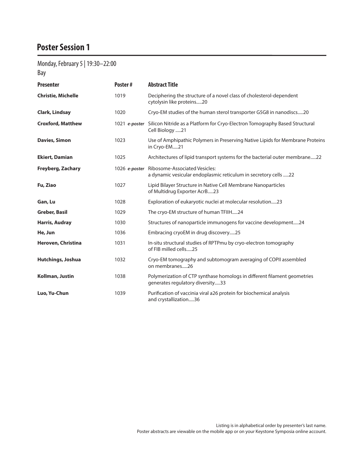# Monday, February 5 | 19:30–22:00

Bay

| <b>Presenter</b>          | Poster#       | <b>Abstract Title</b>                                                                                        |
|---------------------------|---------------|--------------------------------------------------------------------------------------------------------------|
| <b>Christie, Michelle</b> | 1019          | Deciphering the structure of a novel class of cholesterol-dependent<br>cytolysin like proteins20             |
| Clark, Lindsay            | 1020          | Cryo-EM studies of the human sterol transporter G5G8 in nanodiscs20                                          |
| <b>Croxford, Matthew</b>  |               | 1021 e-poster Silicon Nitride as a Platform for Cryo-Electron Tomography Based Structural<br>Cell Biology 21 |
| <b>Davies, Simon</b>      | 1023          | Use of Amphipathic Polymers in Preserving Native Lipids for Membrane Proteins<br>in Cryo-EM21                |
| <b>Ekiert, Damian</b>     | 1025          | Architectures of lipid transport systems for the bacterial outer membrane22                                  |
| <b>Freyberg, Zachary</b>  | 1026 e-poster | <b>Ribosome-Associated Vesicles:</b><br>a dynamic vesicular endoplasmic reticulum in secretory cells 22      |
| Fu, Ziao                  | 1027          | Lipid Bilayer Structure in Native Cell Membrane Nanoparticles<br>of Multidrug Exporter AcrB23                |
| Gan, Lu                   | 1028          | Exploration of eukaryotic nuclei at molecular resolution23                                                   |
| <b>Greber, Basil</b>      | 1029          | The cryo-EM structure of human TFIIH24                                                                       |
| <b>Harris, Audray</b>     | 1030          | Structures of nanoparticle immunogens for vaccine development24                                              |
| He, Jun                   | 1036          | Embracing cryoEM in drug discovery25                                                                         |
| Heroven, Christina        | 1031          | In-situ structural studies of RPTPmu by cryo-electron tomography<br>of FIB milled cells25                    |
| Hutchings, Joshua         | 1032          | Cryo-EM tomography and subtomogram averaging of COPII assembled<br>on membranes26                            |
| Kollman, Justin           | 1038          | Polymerization of CTP synthase homologs in different filament geometries<br>generates regulatory diversity33 |
| Luo, Yu-Chun              | 1039          | Purification of vaccinia viral a26 protein for biochemical analysis<br>and crystallization36                 |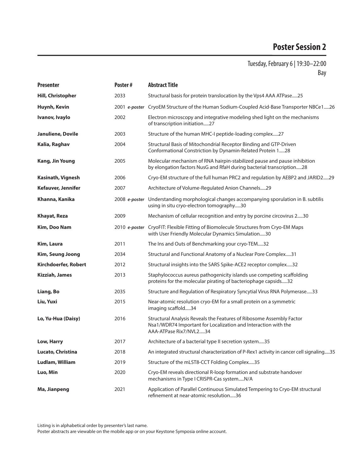| <b>Presenter</b>         | Poster# | <b>Abstract Title</b>                                                                                                                                            |
|--------------------------|---------|------------------------------------------------------------------------------------------------------------------------------------------------------------------|
| <b>Hill, Christopher</b> | 2033    | Structural basis for protein translocation by the Vps4 AAA ATPase25                                                                                              |
| Huynh, Kevin             |         | 2001 e-poster CryoEM Structure of the Human Sodium-Coupled Acid-Base Transporter NBCe126                                                                         |
| Ivanov, Ivaylo           | 2002    | Electron microscopy and integrative modeling shed light on the mechanisms<br>of transcription initiation27                                                       |
| Januliene, Dovile        | 2003    | Structure of the human MHC-I peptide-loading complex27                                                                                                           |
| Kalia, Raghav            | 2004    | Structural Basis of Mitochondrial Receptor Binding and GTP-Driven<br>Conformational Constriction by Dynamin-Related Protein 128                                  |
| <b>Kang, Jin Young</b>   | 2005    | Molecular mechanism of RNA hairpin-stabilized pause and pause inhibition<br>by elongation factors NusG and RfaH during bacterial transcription28                 |
| Kasinath, Vignesh        | 2006    | Cryo-EM structure of the full human PRC2 and regulation by AEBP2 and JARID229                                                                                    |
| Kefauver, Jennifer       | 2007    | Architecture of Volume-Regulated Anion Channels29                                                                                                                |
| Khanna, Kanika           |         | 2008 e-poster Understanding morphological changes accompanying sporulation in B. subtilis<br>using in situ cryo-electron tomography30                            |
| Khayat, Reza             | 2009    | Mechanism of cellular recognition and entry by porcine circovirus 230                                                                                            |
| Kim, Doo Nam             |         | 2010 e-poster CryoFIT: Flexible Fitting of Biomolecule Structures from Cryo-EM Maps<br>with User Friendly Molecular Dynamics Simulation30                        |
| Kim, Laura               | 2011    | The Ins and Outs of Benchmarking your cryo-TEM32                                                                                                                 |
| Kim, Seung Joong         | 2034    | Structural and Functional Anatomy of a Nuclear Pore Complex31                                                                                                    |
| Kirchdoerfer, Robert     | 2012    | Structural insights into the SARS Spike-ACE2 receptor complex32                                                                                                  |
| Kizziah, James           | 2013    | Staphylococcus aureus pathogenicity islands use competing scaffolding<br>proteins for the molecular pirating of bacteriophage capsids32                          |
| Liang, Bo                | 2035    | Structure and Regulation of Respiratory Syncytial Virus RNA Polymerase33                                                                                         |
| Liu, Yuxi                | 2015    | Near-atomic resolution cryo-EM for a small protein on a symmetric<br>imaging scaffold34                                                                          |
| Lo, Yu-Hua (Daisy)       | 2016    | Structural Analysis Reveals the Features of Ribosome Assembly Factor<br>Nsa1/WDR74 Important for Localization and Interaction with the<br>AAA-ATPase Rix7/NVL234 |
| Low, Harry               | 2017    | Architecture of a bacterial type II secretion system35                                                                                                           |
| Lucato, Christina        | 2018    | An integrated structural characterization of P-Rex1 activity in cancer cell signaling35                                                                          |
| Ludlam, William          | 2019    | Structure of the mLST8-CCT Folding Complex35                                                                                                                     |
| Luo, Min                 | 2020    | Cryo-EM reveals directional R-loop formation and substrate handover<br>mechanisms in Type I CRISPR-Cas systemN/A                                                 |
| Ma, Jianpeng             | 2021    | Application of Parallel Continuous Simulated Tempering to Cryo-EM structural<br>refinement at near-atomic resolution36                                           |

Listing is in alphabetical order by presenter's last name.

Poster abstracts are viewable on the mobile app or on your Keystone Symposia online account.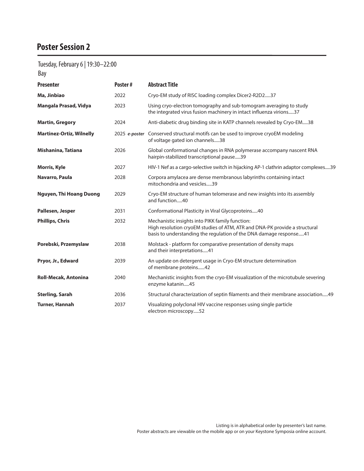# Tuesday, February 6 | 19:30–22:00

Bay

| <b>Presenter</b>                | Poster#       | <b>Abstract Title</b>                                                                                                                                                                               |
|---------------------------------|---------------|-----------------------------------------------------------------------------------------------------------------------------------------------------------------------------------------------------|
| Ma, Jinbiao                     | 2022          | Cryo-EM study of RISC loading complex Dicer2-R2D237                                                                                                                                                 |
| Mangala Prasad, Vidya           | 2023          | Using cryo-electron tomography and sub-tomogram averaging to study<br>the integrated virus fusion machinery in intact influenza virions37                                                           |
| <b>Martin, Gregory</b>          | 2024          | Anti-diabetic drug binding site in KATP channels revealed by Cryo-EM38                                                                                                                              |
| <b>Martinez-Ortiz, Wilnelly</b> | 2025 e-poster | Conserved structural motifs can be used to improve cryoEM modeling<br>of voltage gated ion channels38                                                                                               |
| Mishanina, Tatiana              | 2026          | Global conformational changes in RNA polymerase accompany nascent RNA<br>hairpin-stabilized transcriptional pause39                                                                                 |
| Morris, Kyle                    | 2027          | HIV-1 Nef as a cargo-selective switch in hijacking AP-1 clathrin adaptor complexes39                                                                                                                |
| Navarro, Paula                  | 2028          | Corpora amylacea are dense membranous labyrinths containing intact<br>mitochondria and vesicles39                                                                                                   |
| <b>Nguyen, Thi Hoang Duong</b>  | 2029          | Cryo-EM structure of human telomerase and new insights into its assembly<br>and function40                                                                                                          |
| Pallesen, Jesper                | 2031          | Conformational Plasticity in Viral Glycoproteins40                                                                                                                                                  |
| <b>Phillips, Chris</b>          | 2032          | Mechanistic insights into PIKK family function:<br>High resolution cryoEM studies of ATM, ATR and DNA-PK provide a structural<br>basis to understanding the regulation of the DNA damage response41 |
| Porebski, Przemyslaw            | 2038          | Molstack - platform for comparative presentation of density maps<br>and their interpretations41                                                                                                     |
| Pryor, Jr., Edward              | 2039          | An update on detergent usage in Cryo-EM structure determination<br>of membrane proteins42                                                                                                           |
| <b>Roll-Mecak, Antonina</b>     | 2040          | Mechanistic insights from the cryo-EM visualization of the microtubule severing<br>enzyme katanin45                                                                                                 |
| <b>Sterling, Sarah</b>          | 2036          | Structural characterization of septin filaments and their membrane association49                                                                                                                    |
| <b>Turner, Hannah</b>           | 2037          | Visualizing polyclonal HIV vaccine responses using single particle<br>electron microscopy52                                                                                                         |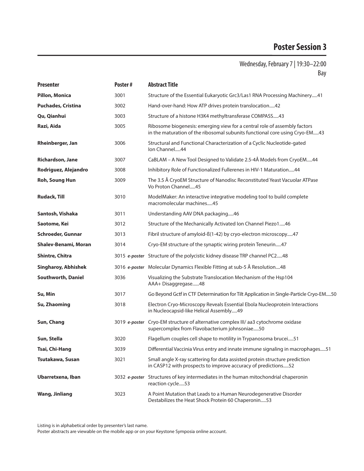## Wednesday, February 7 | 19:30–22:00 Bay

| <b>Presenter</b>            | Poster# | <b>Abstract Title</b>                                                                                                                                    |
|-----------------------------|---------|----------------------------------------------------------------------------------------------------------------------------------------------------------|
| <b>Pillon, Monica</b>       | 3001    | Structure of the Essential Eukaryotic Grc3/Las1 RNA Processing Machinery41                                                                               |
| <b>Puchades, Cristina</b>   | 3002    | Hand-over-hand: How ATP drives protein translocation42                                                                                                   |
| Qu, Qianhui                 | 3003    | Structure of a histone H3K4 methyltransferase COMPASS43                                                                                                  |
| Razi, Aida                  | 3005    | Ribosome biogenesis: emerging view for a central role of assembly factors<br>in the maturation of the ribosomal subunits functional core using Cryo-EM43 |
| Rheinberger, Jan            | 3006    | Structural and Functional Characterization of a Cyclic Nucleotide-gated<br>Ion Channel44                                                                 |
| Richardson, Jane            | 3007    | CaBLAM - A New Tool Designed to Validate 2.5-4Å Models from CryoEM44                                                                                     |
| Rodriguez, Alejandro        | 3008    | Inhibitory Role of Functionalized Fullerenes in HIV-1 Maturation 44                                                                                      |
| <b>Roh, Soung Hun</b>       | 3009    | The 3.5 Å CryoEM Structure of Nanodisc Reconstituted Yeast Vacuolar ATPase<br>Vo Proton Channel45                                                        |
| <b>Rudack, Till</b>         | 3010    | ModelMaker: An interactive integrative modeling tool to build complete<br>macromolecular machines45                                                      |
| Santosh, Vishaka            | 3011    | Understanding AAV DNA packaging46                                                                                                                        |
| Saotome, Kei                | 3012    | Structure of the Mechanically Activated Ion Channel Piezo146                                                                                             |
| Schroeder, Gunnar           | 3013    | Fibril structure of amyloid-ß(1-42) by cryo-electron microscopy47                                                                                        |
| <b>Shalev-Benami, Moran</b> | 3014    | Cryo-EM structure of the synaptic wiring protein Teneurin47                                                                                              |
| <b>Shintre, Chitra</b>      |         | 3015 e-poster Structure of the polycistic kidney disease TRP channel PC248                                                                               |
| <b>Singharoy, Abhishek</b>  |         | 3016 e-poster Molecular Dynamics Flexible Fitting at sub-5 Å Resolution48                                                                                |
| Southworth, Daniel          | 3036    | Visualizing the Substrate Translocation Mechanism of the Hsp104<br>AAA+ Disaggregase48                                                                   |
| Su, Min                     | 3017    | Go Beyond Gctf in CTF Determination for Tilt Application in Single-Particle Cryo-EM50                                                                    |
| Su, Zhaoming                | 3018    | Electron Cryo-Microscopy Reveals Essential Ebola Nucleoprotein Interactions<br>in Nucleocapsid-like Helical Assembly49                                   |
| Sun, Chang                  |         | 3019 e-poster Cryo-EM structure of alternative complex III/ aa3 cytochrome oxidase<br>supercomplex from Flavobacterium johnsoniae50                      |
| Sun, Stella                 | 3020    | Flagellum couples cell shape to motility in Trypanosoma brucei51                                                                                         |
| Tsai, Chi-Hang              | 3039    | Differential Vaccinia Virus entry and innate immune signaling in macrophages51                                                                           |
| Tsutakawa, Susan            | 3021    | Small angle X-ray scattering for data assisted protein structure prediction<br>in CASP12 with prospects to improve accuracy of predictions52             |
| Ubarretxena, Iban           |         | 3032 e-poster Structures of key intermediates in the human mitochondrial chaperonin<br>reaction cycle53                                                  |
| <b>Wang, Jinliang</b>       | 3023    | A Point Mutation that Leads to a Human Neurodegenerative Disorder<br>Destabilizes the Heat Shock Protein 60 Chaperonin53                                 |

Listing is in alphabetical order by presenter's last name.

Poster abstracts are viewable on the mobile app or on your Keystone Symposia online account.